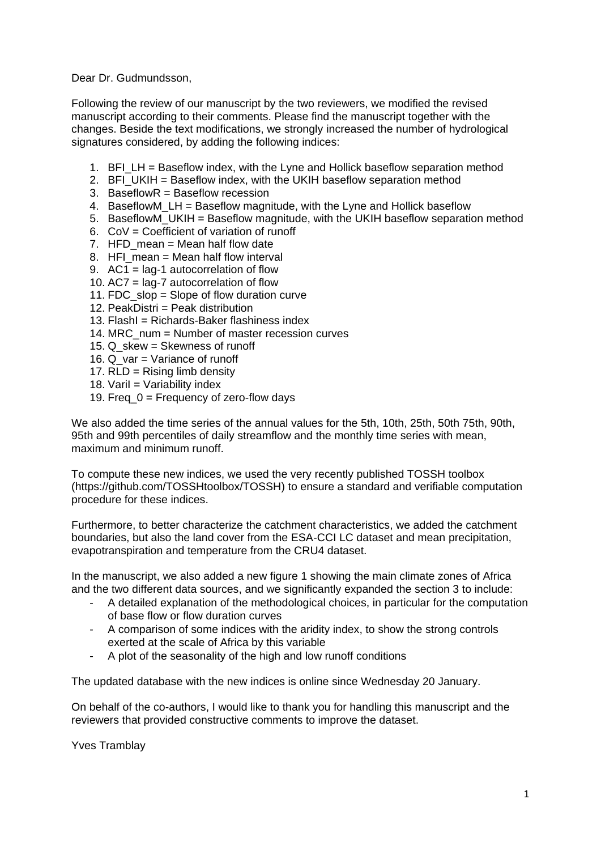Dear Dr. Gudmundsson,

Following the review of our manuscript by the two reviewers, we modified the revised manuscript according to their comments. Please find the manuscript together with the changes. Beside the text modifications, we strongly increased the number of hydrological signatures considered, by adding the following indices:

- 1. BFI LH = Baseflow index, with the Lyne and Hollick baseflow separation method
- 2. BFI\_UKIH = Baseflow index, with the UKIH baseflow separation method
- 3. BaseflowR = Baseflow recession
- 4. BaseflowM\_LH = Baseflow magnitude, with the Lyne and Hollick baseflow
- 5. BaseflowM\_UKIH = Baseflow magnitude, with the UKIH baseflow separation method
- 6.  $COV = Coefficient of variation of runoff$
- 7. HFD mean  $=$  Mean half flow date
- 8. HFI\_mean = Mean half flow interval
- 9. AC1 = lag-1 autocorrelation of flow
- 10. AC7 = lag-7 autocorrelation of flow
- 11. FDC slop = Slope of flow duration curve
- 12. PeakDistri = Peak distribution
- 13. FlashI = Richards-Baker flashiness index
- 14. MRC\_num = Number of master recession curves
- 15. Q skew = Skewness of runoff
- 16. Q var = Variance of runoff
- 17. RLD = Rising limb density
- 18. Varil  $=$  Variability index
- 19. Freq  $0 =$  Frequency of zero-flow days

We also added the time series of the annual values for the 5th, 10th, 25th, 50th 75th, 90th, 95th and 99th percentiles of daily streamflow and the monthly time series with mean, maximum and minimum runoff.

To compute these new indices, we used the very recently published TOSSH toolbox (https://github.com/TOSSHtoolbox/TOSSH) to ensure a standard and verifiable computation procedure for these indices.

Furthermore, to better characterize the catchment characteristics, we added the catchment boundaries, but also the land cover from the ESA-CCI LC dataset and mean precipitation, evapotranspiration and temperature from the CRU4 dataset.

In the manuscript, we also added a new figure 1 showing the main climate zones of Africa and the two different data sources, and we significantly expanded the section 3 to include:

- A detailed explanation of the methodological choices, in particular for the computation of base flow or flow duration curves
- A comparison of some indices with the aridity index, to show the strong controls exerted at the scale of Africa by this variable
- A plot of the seasonality of the high and low runoff conditions

The updated database with the new indices is online since Wednesday 20 January.

On behalf of the co-authors, I would like to thank you for handling this manuscript and the reviewers that provided constructive comments to improve the dataset.

Yves Tramblay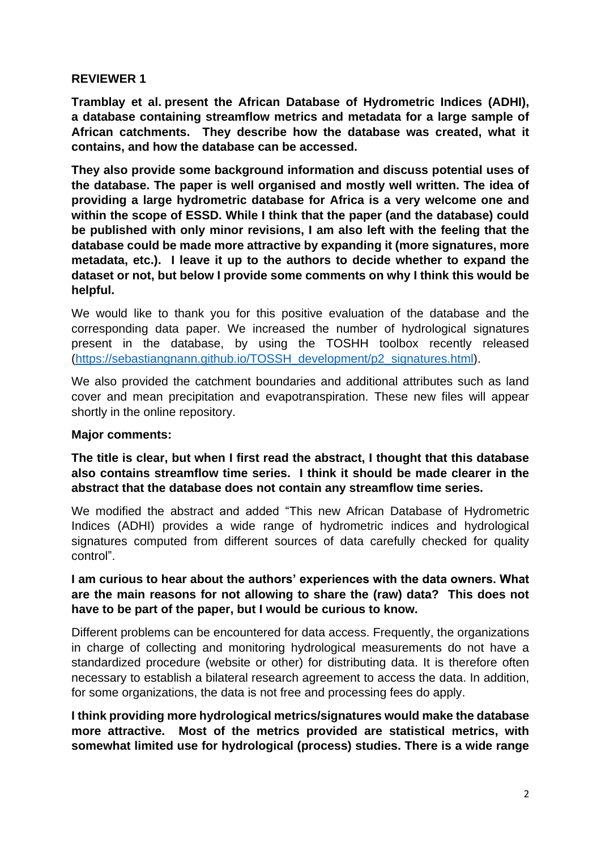## **REVIEWER 1**

**Tramblay et al. present the African Database of Hydrometric Indices (ADHI), a database containing streamflow metrics and metadata for a large sample of African catchments. They describe how the database was created, what it contains, and how the database can be accessed.** 

**They also provide some background information and discuss potential uses of the database. The paper is well organised and mostly well written. The idea of providing a large hydrometric database for Africa is a very welcome one and within the scope of ESSD. While I think that the paper (and the database) could be published with only minor revisions, I am also left with the feeling that the database could be made more attractive by expanding it (more signatures, more metadata, etc.). I leave it up to the authors to decide whether to expand the dataset or not, but below I provide some comments on why I think this would be helpful.**

We would like to thank you for this positive evaluation of the database and the corresponding data paper. We increased the number of hydrological signatures present in the database, by using the TOSHH toolbox recently released [\(https://sebastiangnann.github.io/TOSSH\\_development/p2\\_signatures.html\)](https://sebastiangnann.github.io/TOSSH_development/p2_signatures.html).

We also provided the catchment boundaries and additional attributes such as land cover and mean precipitation and evapotranspiration. These new files will appear shortly in the online repository.

### **Major comments:**

**The title is clear, but when I first read the abstract, I thought that this database also contains streamflow time series. I think it should be made clearer in the abstract that the database does not contain any streamflow time series.** 

We modified the abstract and added "This new African Database of Hydrometric Indices (ADHI) provides a wide range of hydrometric indices and hydrological signatures computed from different sources of data carefully checked for quality control".

## **I am curious to hear about the authors' experiences with the data owners. What are the main reasons for not allowing to share the (raw) data? This does not have to be part of the paper, but I would be curious to know.**

Different problems can be encountered for data access. Frequently, the organizations in charge of collecting and monitoring hydrological measurements do not have a standardized procedure (website or other) for distributing data. It is therefore often necessary to establish a bilateral research agreement to access the data. In addition, for some organizations, the data is not free and processing fees do apply.

**I think providing more hydrological metrics/signatures would make the database more attractive. Most of the metrics provided are statistical metrics, with somewhat limited use for hydrological (process) studies. There is a wide range**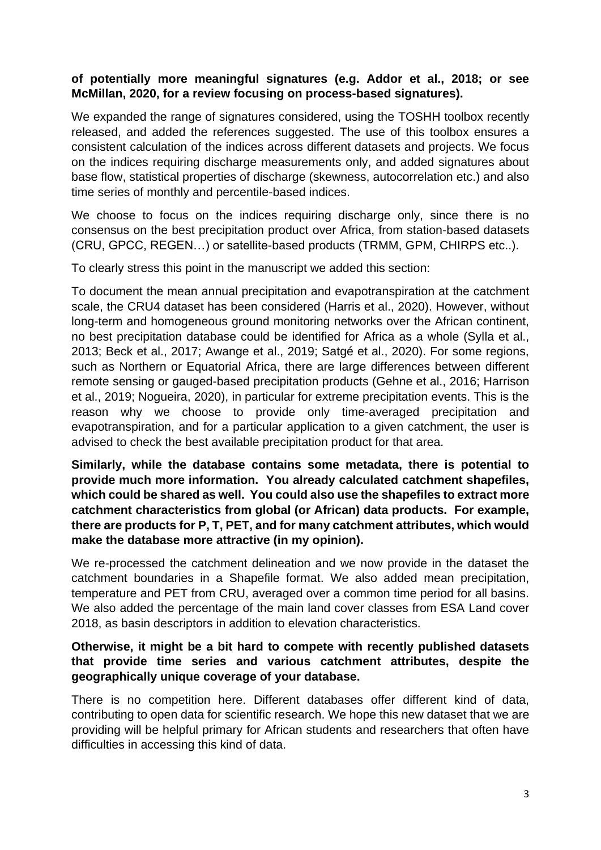## **of potentially more meaningful signatures (e.g. Addor et al., 2018; or see McMillan, 2020, for a review focusing on process-based signatures).**

We expanded the range of signatures considered, using the TOSHH toolbox recently released, and added the references suggested. The use of this toolbox ensures a consistent calculation of the indices across different datasets and projects. We focus on the indices requiring discharge measurements only, and added signatures about base flow, statistical properties of discharge (skewness, autocorrelation etc.) and also time series of monthly and percentile-based indices.

We choose to focus on the indices requiring discharge only, since there is no consensus on the best precipitation product over Africa, from station-based datasets (CRU, GPCC, REGEN…) or satellite-based products (TRMM, GPM, CHIRPS etc..).

To clearly stress this point in the manuscript we added this section:

To document the mean annual precipitation and evapotranspiration at the catchment scale, the CRU4 dataset has been considered (Harris et al., 2020). However, without long-term and homogeneous ground monitoring networks over the African continent, no best precipitation database could be identified for Africa as a whole (Sylla et al., 2013; Beck et al., 2017; Awange et al., 2019; Satgé et al., 2020). For some regions, such as Northern or Equatorial Africa, there are large differences between different remote sensing or gauged-based precipitation products (Gehne et al., 2016; Harrison et al., 2019; Nogueira, 2020), in particular for extreme precipitation events. This is the reason why we choose to provide only time-averaged precipitation and evapotranspiration, and for a particular application to a given catchment, the user is advised to check the best available precipitation product for that area.

## **Similarly, while the database contains some metadata, there is potential to provide much more information. You already calculated catchment shapefiles, which could be shared as well. You could also use the shapefiles to extract more catchment characteristics from global (or African) data products. For example, there are products for P, T, PET, and for many catchment attributes, which would make the database more attractive (in my opinion).**

We re-processed the catchment delineation and we now provide in the dataset the catchment boundaries in a Shapefile format. We also added mean precipitation, temperature and PET from CRU, averaged over a common time period for all basins. We also added the percentage of the main land cover classes from ESA Land cover 2018, as basin descriptors in addition to elevation characteristics.

## **Otherwise, it might be a bit hard to compete with recently published datasets that provide time series and various catchment attributes, despite the geographically unique coverage of your database.**

There is no competition here. Different databases offer different kind of data, contributing to open data for scientific research. We hope this new dataset that we are providing will be helpful primary for African students and researchers that often have difficulties in accessing this kind of data.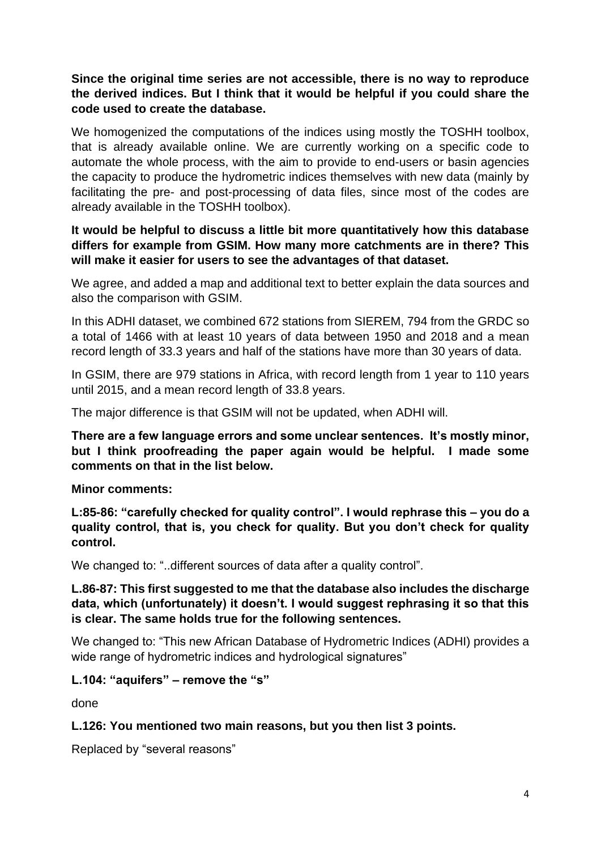# **Since the original time series are not accessible, there is no way to reproduce the derived indices. But I think that it would be helpful if you could share the code used to create the database.**

We homogenized the computations of the indices using mostly the TOSHH toolbox, that is already available online. We are currently working on a specific code to automate the whole process, with the aim to provide to end-users or basin agencies the capacity to produce the hydrometric indices themselves with new data (mainly by facilitating the pre- and post-processing of data files, since most of the codes are already available in the TOSHH toolbox).

## **It would be helpful to discuss a little bit more quantitatively how this database differs for example from GSIM. How many more catchments are in there? This will make it easier for users to see the advantages of that dataset.**

We agree, and added a map and additional text to better explain the data sources and also the comparison with GSIM.

In this ADHI dataset, we combined 672 stations from SIEREM, 794 from the GRDC so a total of 1466 with at least 10 years of data between 1950 and 2018 and a mean record length of 33.3 years and half of the stations have more than 30 years of data.

In GSIM, there are 979 stations in Africa, with record length from 1 year to 110 years until 2015, and a mean record length of 33.8 years.

The major difference is that GSIM will not be updated, when ADHI will.

**There are a few language errors and some unclear sentences. It's mostly minor, but I think proofreading the paper again would be helpful. I made some comments on that in the list below.**

### **Minor comments:**

**L:85-86: "carefully checked for quality control". I would rephrase this – you do a quality control, that is, you check for quality. But you don't check for quality control.**

We changed to: "..different sources of data after a quality control".

## **L.86-87: This first suggested to me that the database also includes the discharge data, which (unfortunately) it doesn't. I would suggest rephrasing it so that this is clear. The same holds true for the following sentences.**

We changed to: "This new African Database of Hydrometric Indices (ADHI) provides a wide range of hydrometric indices and hydrological signatures"

### **L.104: "aquifers" – remove the "s"**

done

### **L.126: You mentioned two main reasons, but you then list 3 points.**

Replaced by "several reasons"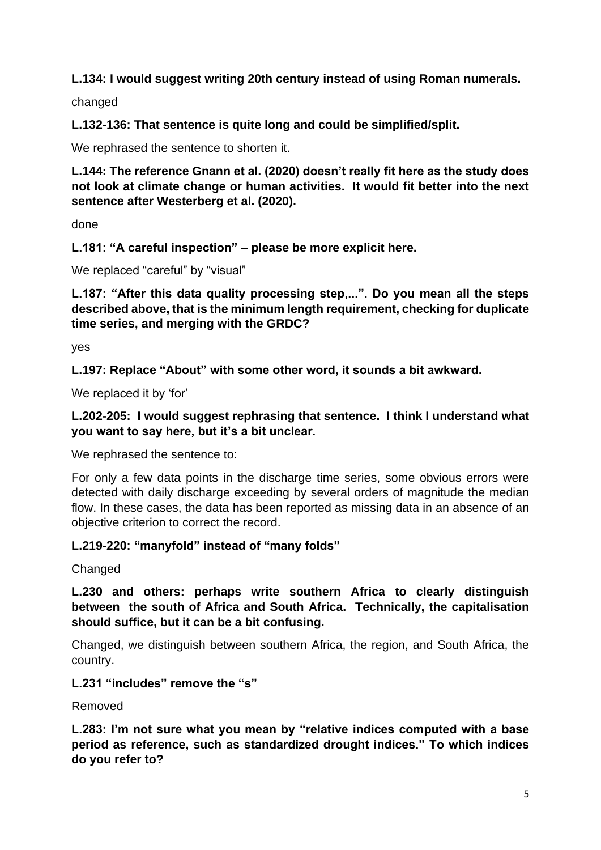# **L.134: I would suggest writing 20th century instead of using Roman numerals.**

changed

**L.132-136: That sentence is quite long and could be simplified/split.**

We rephrased the sentence to shorten it.

**L.144: The reference Gnann et al. (2020) doesn't really fit here as the study does not look at climate change or human activities. It would fit better into the next sentence after Westerberg et al. (2020).**

done

**L.181: "A careful inspection" – please be more explicit here.**

We replaced "careful" by "visual"

**L.187: "After this data quality processing step,...". Do you mean all the steps described above, that is the minimum length requirement, checking for duplicate time series, and merging with the GRDC?** 

yes

**L.197: Replace "About" with some other word, it sounds a bit awkward.**

We replaced it by 'for'

## **L.202-205: I would suggest rephrasing that sentence. I think I understand what you want to say here, but it's a bit unclear.**

We rephrased the sentence to:

For only a few data points in the discharge time series, some obvious errors were detected with daily discharge exceeding by several orders of magnitude the median flow. In these cases, the data has been reported as missing data in an absence of an objective criterion to correct the record.

# **L.219-220: "manyfold" instead of "many folds"**

**Changed** 

**L.230 and others: perhaps write southern Africa to clearly distinguish between the south of Africa and South Africa. Technically, the capitalisation should suffice, but it can be a bit confusing.**

Changed, we distinguish between southern Africa, the region, and South Africa, the country.

### **L.231 "includes" remove the "s"**

Removed

**L.283: I'm not sure what you mean by "relative indices computed with a base period as reference, such as standardized drought indices." To which indices do you refer to?**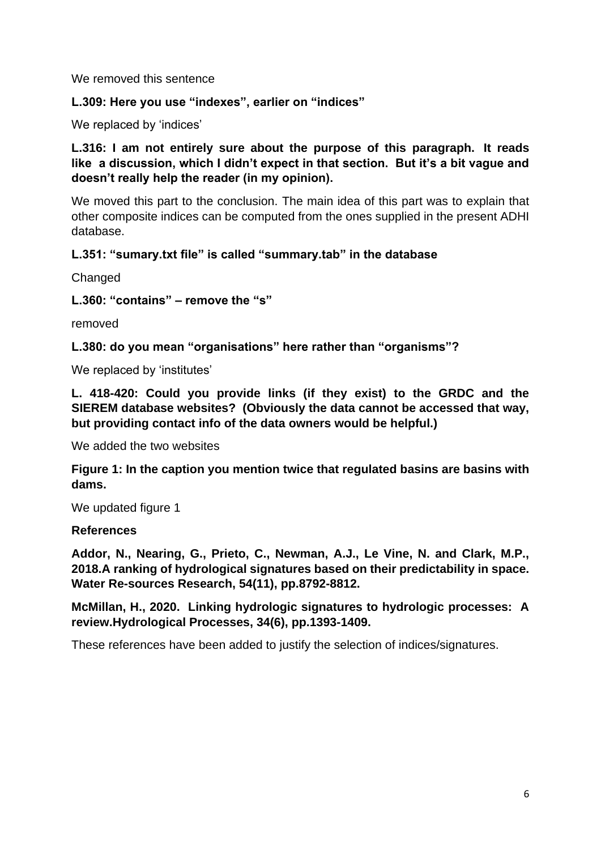We removed this sentence

## **L.309: Here you use "indexes", earlier on "indices"**

We replaced by 'indices'

**L.316: I am not entirely sure about the purpose of this paragraph. It reads like a discussion, which I didn't expect in that section. But it's a bit vague and doesn't really help the reader (in my opinion).**

We moved this part to the conclusion. The main idea of this part was to explain that other composite indices can be computed from the ones supplied in the present ADHI database.

## **L.351: "sumary.txt file" is called "summary.tab" in the database**

**Changed** 

**L.360: "contains" – remove the "s"**

removed

**L.380: do you mean "organisations" here rather than "organisms"?**

We replaced by 'institutes'

**L. 418-420: Could you provide links (if they exist) to the GRDC and the SIEREM database websites? (Obviously the data cannot be accessed that way, but providing contact info of the data owners would be helpful.)**

We added the two websites

**Figure 1: In the caption you mention twice that regulated basins are basins with dams.** 

We updated figure 1

### **References**

**Addor, N., Nearing, G., Prieto, C., Newman, A.J., Le Vine, N. and Clark, M.P., 2018.A ranking of hydrological signatures based on their predictability in space. Water Re-sources Research, 54(11), pp.8792-8812.**

**McMillan, H., 2020. Linking hydrologic signatures to hydrologic processes: A review.Hydrological Processes, 34(6), pp.1393-1409.**

These references have been added to justify the selection of indices/signatures.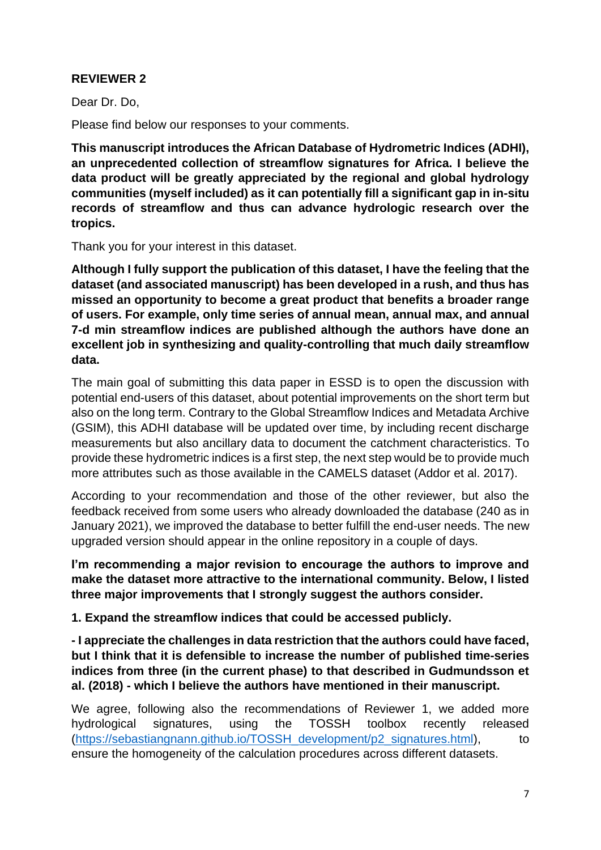# **REVIEWER 2**

Dear Dr. Do,

Please find below our responses to your comments.

**This manuscript introduces the African Database of Hydrometric Indices (ADHI), an unprecedented collection of streamflow signatures for Africa. I believe the data product will be greatly appreciated by the regional and global hydrology communities (myself included) as it can potentially fill a significant gap in in-situ records of streamflow and thus can advance hydrologic research over the tropics.** 

Thank you for your interest in this dataset.

**Although I fully support the publication of this dataset, I have the feeling that the dataset (and associated manuscript) has been developed in a rush, and thus has missed an opportunity to become a great product that benefits a broader range of users. For example, only time series of annual mean, annual max, and annual 7-d min streamflow indices are published although the authors have done an excellent job in synthesizing and quality-controlling that much daily streamflow data.**

The main goal of submitting this data paper in ESSD is to open the discussion with potential end-users of this dataset, about potential improvements on the short term but also on the long term. Contrary to the Global Streamflow Indices and Metadata Archive (GSIM), this ADHI database will be updated over time, by including recent discharge measurements but also ancillary data to document the catchment characteristics. To provide these hydrometric indices is a first step, the next step would be to provide much more attributes such as those available in the CAMELS dataset (Addor et al. 2017).

According to your recommendation and those of the other reviewer, but also the feedback received from some users who already downloaded the database (240 as in January 2021), we improved the database to better fulfill the end-user needs. The new upgraded version should appear in the online repository in a couple of days.

**I'm recommending a major revision to encourage the authors to improve and make the dataset more attractive to the international community. Below, I listed three major improvements that I strongly suggest the authors consider.**

**1. Expand the streamflow indices that could be accessed publicly.**

**- I appreciate the challenges in data restriction that the authors could have faced, but I think that it is defensible to increase the number of published time-series indices from three (in the current phase) to that described in Gudmundsson et al. (2018) - which I believe the authors have mentioned in their manuscript.**

We agree, following also the recommendations of Reviewer 1, we added more hydrological signatures, using the TOSSH toolbox recently released [\(https://sebastiangnann.github.io/TOSSH\\_development/p2\\_signatures.html\)](https://sebastiangnann.github.io/TOSSH_development/p2_signatures.html), to ensure the homogeneity of the calculation procedures across different datasets.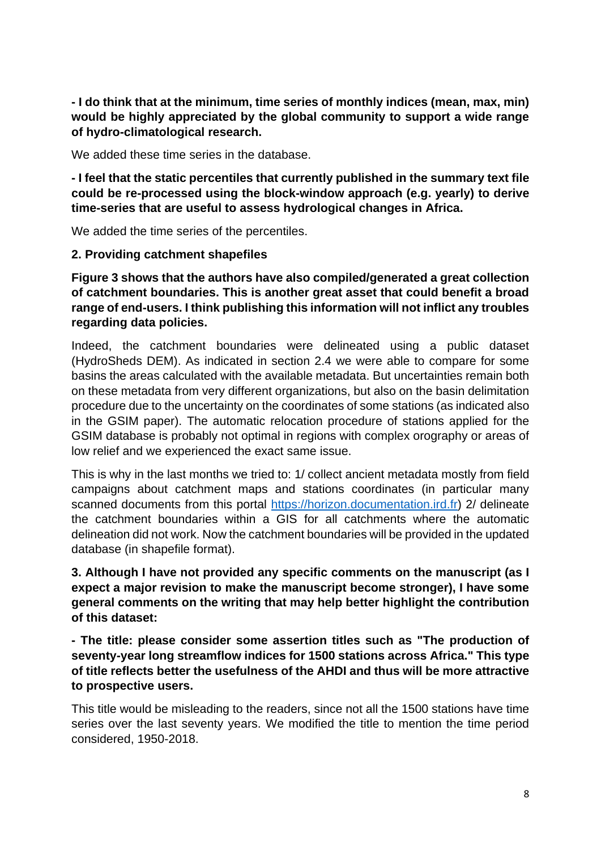**- I do think that at the minimum, time series of monthly indices (mean, max, min) would be highly appreciated by the global community to support a wide range of hydro-climatological research.**

We added these time series in the database.

**- I feel that the static percentiles that currently published in the summary text file could be re-processed using the block-window approach (e.g. yearly) to derive time-series that are useful to assess hydrological changes in Africa.**

We added the time series of the percentiles.

### **2. Providing catchment shapefiles**

**Figure 3 shows that the authors have also compiled/generated a great collection of catchment boundaries. This is another great asset that could benefit a broad range of end-users. I think publishing this information will not inflict any troubles regarding data policies.**

Indeed, the catchment boundaries were delineated using a public dataset (HydroSheds DEM). As indicated in section 2.4 we were able to compare for some basins the areas calculated with the available metadata. But uncertainties remain both on these metadata from very different organizations, but also on the basin delimitation procedure due to the uncertainty on the coordinates of some stations (as indicated also in the GSIM paper). The automatic relocation procedure of stations applied for the GSIM database is probably not optimal in regions with complex orography or areas of low relief and we experienced the exact same issue.

This is why in the last months we tried to: 1/ collect ancient metadata mostly from field campaigns about catchment maps and stations coordinates (in particular many scanned documents from this portal [https://horizon.documentation.ird.fr\)](https://horizon.documentation.ird.fr/) 2/ delineate the catchment boundaries within a GIS for all catchments where the automatic delineation did not work. Now the catchment boundaries will be provided in the updated database (in shapefile format).

## **3. Although I have not provided any specific comments on the manuscript (as I expect a major revision to make the manuscript become stronger), I have some general comments on the writing that may help better highlight the contribution of this dataset:**

**- The title: please consider some assertion titles such as "The production of seventy-year long streamflow indices for 1500 stations across Africa." This type of title reflects better the usefulness of the AHDI and thus will be more attractive to prospective users.**

This title would be misleading to the readers, since not all the 1500 stations have time series over the last seventy years. We modified the title to mention the time period considered, 1950-2018.